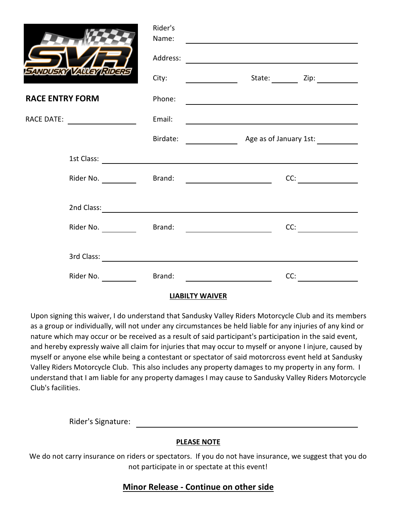|                                |           | Rider's<br>Name: | <u>and the contract of the contract of the contract of the contract of the contract of the contract of the contract of the contract of the contract of the contract of the contract of the contract of the contract of the contr</u> |
|--------------------------------|-----------|------------------|--------------------------------------------------------------------------------------------------------------------------------------------------------------------------------------------------------------------------------------|
|                                |           |                  |                                                                                                                                                                                                                                      |
| SANDUSKY VALLEY RIDERS         |           | City:            |                                                                                                                                                                                                                                      |
| <b>RACE ENTRY FORM</b>         |           | Phone:           | <u> 1980 - Andrea Andrew Maria (h. 1980).</u>                                                                                                                                                                                        |
| RACE DATE: ___________________ |           | Email:           | <u> 1989 - Jan Barnett, fransk politiker (d. 1989)</u>                                                                                                                                                                               |
|                                |           |                  |                                                                                                                                                                                                                                      |
|                                |           |                  |                                                                                                                                                                                                                                      |
|                                | Rider No. |                  | CC:                                                                                                                                                                                                                                  |
|                                |           |                  |                                                                                                                                                                                                                                      |
|                                |           |                  | CC:                                                                                                                                                                                                                                  |
|                                |           |                  |                                                                                                                                                                                                                                      |
|                                | Rider No. |                  | Brand: <u>_________________________</u><br>CC:                                                                                                                                                                                       |

## **LIABILTY WAIVER**

Upon signing this waiver, I do understand that Sandusky Valley Riders Motorcycle Club and its members as a group or individually, will not under any circumstances be held liable for any injuries of any kind or nature which may occur or be received as a result of said participant's participation in the said event, and hereby expressly waive all claim for injuries that may occur to myself or anyone I injure, caused by myself or anyone else while being a contestant or spectator of said motorcross event held at Sandusky Valley Riders Motorcycle Club. This also includes any property damages to my property in any form. I understand that I am liable for any property damages I may cause to Sandusky Valley Riders Motorcycle Club's facilities.

Rider's Signature:

## **PLEASE NOTE**

We do not carry insurance on riders or spectators. If you do not have insurance, we suggest that you do not participate in or spectate at this event!

## **Minor Release - Continue on other side**